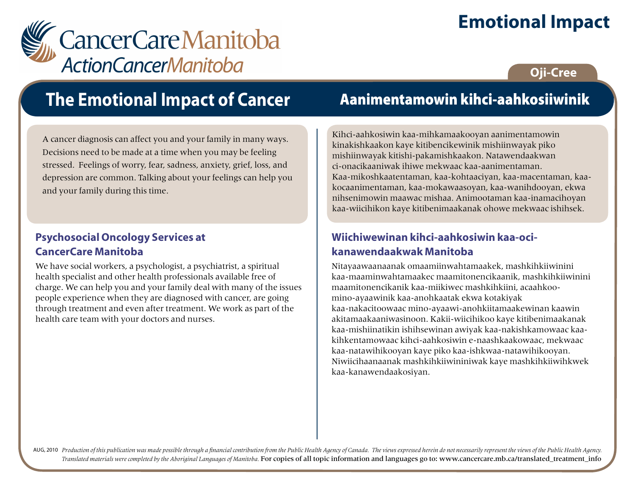# **Emotional Impact**



### **Oji-Cree**

# **The Emotional Impact of Cancer**

A cancer diagnosis can affect you and your family in many ways. Decisions need to be made at a time when you may be feeling stressed. Feelings of worry, fear, sadness, anxiety, grief, loss, and depression are common. Talking about your feelings can help you and your family during this time.

### **Psychosocial Oncology Services at CancerCare Manitoba**

We have social workers, a psychologist, a psychiatrist, a spiritual health specialist and other health professionals available free of charge. We can help you and your family deal with many of the issues people experience when they are diagnosed with cancer, are going through treatment and even after treatment. We work as part of the health care team with your doctors and nurses.

## Aanimentamowin kihci-aahkosiiwinik

Kihci-aahkosiwin kaa-mihkamaakooyan aanimentamowin kinakishkaakon kaye kitibencikewinik mishiinwayak piko mishiinwayak kitishi-pakamishkaakon. Natawendaakwan ci-onacikaaniwak ihiwe mekwaac kaa-aanimentaman. Kaa-mikoshkaatentaman, kaa-kohtaaciyan, kaa-macentaman, kaakocaanimentaman, kaa-mokawaasoyan, kaa-wanihdooyan, ekwa nihsenimowin maawac mishaa. Animootaman kaa-inamacihoyan kaa-wiicihikon kaye kitibenimaakanak ohowe mekwaac ishihsek.

### **Wiichiwewinan kihci-aahkosiwin kaa-ocikanawendaakwak Manitoba**

Nitayaawaanaanak omaamiinwahtamaakek, mashkihkiiwinini kaa-maaminwahtamaakec maamitonencikaanik, mashkihkiiwinini maamitonencikanik kaa-miikiwec mashkihkiini, acaahkoomino-ayaawinik kaa-anohkaatak ekwa kotakiyak kaa-nakacitoowaac mino-ayaawi-anohkiitamaakewinan kaawin akitamaakaaniwasinoon. Kakii-wiicihikoo kaye kitibenimaakanak kaa-mishiinatikin ishihsewinan awiyak kaa-nakishkamowaac kaakihkentamowaac kihci-aahkosiwin e-naashkaakowaac, mekwaac kaa-natawihikooyan kaye piko kaa-ishkwaa-natawihikooyan. Niwiicihaanaanak mashkihkiiwininiwak kaye mashkihkiiwihkwek kaa-kanawendaakosiyan.

AUG, 2010 Production of this publication was made possible through a financial contribution from the Public Health Agency of Canada. The views expressed herein do not necessarily represent the views of the Public Health Ag *Translated materials were completed by the Aboriginal Languages of Manitoba.* For copies of all topic information and languages go to: www.cancercare.mb.ca/translated\_treatment\_info